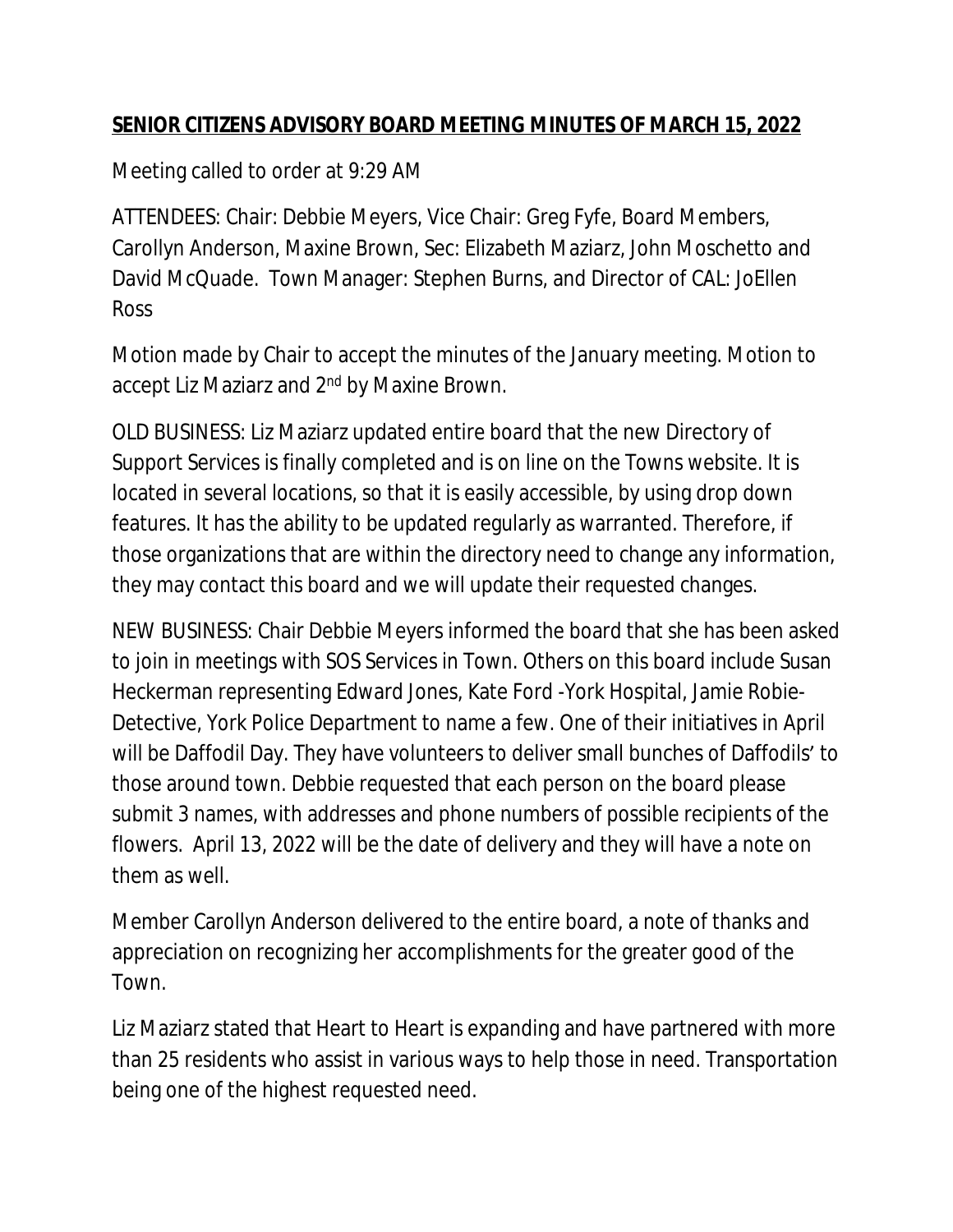## **SENIOR CITIZENS ADVISORY BOARD MEETING MINUTES OF MARCH 15, 2022**

Meeting called to order at 9:29 AM

ATTENDEES: Chair: Debbie Meyers, Vice Chair: Greg Fyfe, Board Members, Carollyn Anderson, Maxine Brown, Sec: Elizabeth Maziarz, John Moschetto and David McQuade. Town Manager: Stephen Burns, and Director of CAL: JoEllen Ross

Motion made by Chair to accept the minutes of the January meeting. Motion to accept Liz Maziarz and 2<sup>nd</sup> by Maxine Brown.

OLD BUSINESS: Liz Maziarz updated entire board that the new Directory of Support Services is finally completed and is on line on the Towns website. It is located in several locations, so that it is easily accessible, by using drop down features. It has the ability to be updated regularly as warranted. Therefore, if those organizations that are within the directory need to change any information, they may contact this board and we will update their requested changes.

NEW BUSINESS: Chair Debbie Meyers informed the board that she has been asked to join in meetings with SOS Services in Town. Others on this board include Susan Heckerman representing Edward Jones, Kate Ford -York Hospital, Jamie Robie-Detective, York Police Department to name a few. One of their initiatives in April will be Daffodil Day. They have volunteers to deliver small bunches of Daffodils' to those around town. Debbie requested that each person on the board please submit 3 names, with addresses and phone numbers of possible recipients of the flowers. April 13, 2022 will be the date of delivery and they will have a note on them as well.

Member Carollyn Anderson delivered to the entire board, a note of thanks and appreciation on recognizing her accomplishments for the greater good of the Town.

Liz Maziarz stated that Heart to Heart is expanding and have partnered with more than 25 residents who assist in various ways to help those in need. Transportation being one of the highest requested need.